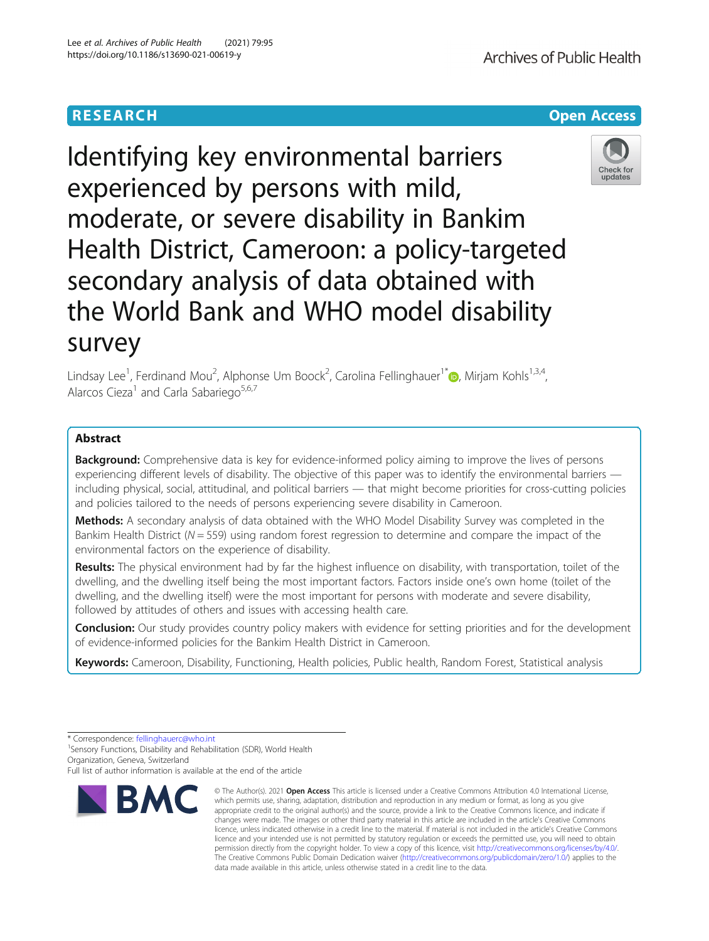

Identifying key environmental barriers experienced by persons with mild, moderate, or severe disability in Bankim Health District, Cameroon: a policy-targeted secondary analysis of data obtained with the World Bank and WHO model disability survey

Lindsay Lee<sup>1</sup>[,](http://orcid.org/0000-0002-0042-9945) Ferdinand Mou<sup>2</sup>, Alphonse Um Boock<sup>2</sup>, Carolina Fellinghauer<sup>1\*</sup>@, Mirjam Kohls<sup>1,3,4</sup>, Alarcos Cieza<sup>1</sup> and Carla Sabariego<sup>5,6,7</sup>

# Abstract

Background: Comprehensive data is key for evidence-informed policy aiming to improve the lives of persons experiencing different levels of disability. The objective of this paper was to identify the environmental barriers including physical, social, attitudinal, and political barriers — that might become priorities for cross-cutting policies and policies tailored to the needs of persons experiencing severe disability in Cameroon.

Methods: A secondary analysis of data obtained with the WHO Model Disability Survey was completed in the Bankim Health District ( $N = 559$ ) using random forest regression to determine and compare the impact of the environmental factors on the experience of disability.

Results: The physical environment had by far the highest influence on disability, with transportation, toilet of the dwelling, and the dwelling itself being the most important factors. Factors inside one's own home (toilet of the dwelling, and the dwelling itself) were the most important for persons with moderate and severe disability, followed by attitudes of others and issues with accessing health care.

**Conclusion:** Our study provides country policy makers with evidence for setting priorities and for the development of evidence-informed policies for the Bankim Health District in Cameroon.

Keywords: Cameroon, Disability, Functioning, Health policies, Public health, Random Forest, Statistical analysis

<sup>1</sup> Sensory Functions, Disability and Rehabilitation (SDR), World Health Organization, Geneva, Switzerland

Full list of author information is available at the end of the article



<sup>©</sup> The Author(s), 2021 **Open Access** This article is licensed under a Creative Commons Attribution 4.0 International License, which permits use, sharing, adaptation, distribution and reproduction in any medium or format, as long as you give appropriate credit to the original author(s) and the source, provide a link to the Creative Commons licence, and indicate if changes were made. The images or other third party material in this article are included in the article's Creative Commons licence, unless indicated otherwise in a credit line to the material. If material is not included in the article's Creative Commons licence and your intended use is not permitted by statutory regulation or exceeds the permitted use, you will need to obtain permission directly from the copyright holder. To view a copy of this licence, visit [http://creativecommons.org/licenses/by/4.0/.](http://creativecommons.org/licenses/by/4.0/) The Creative Commons Public Domain Dedication waiver [\(http://creativecommons.org/publicdomain/zero/1.0/](http://creativecommons.org/publicdomain/zero/1.0/)) applies to the data made available in this article, unless otherwise stated in a credit line to the data.

<sup>\*</sup> Correspondence: [fellinghauerc@who.int](mailto:fellinghauerc@who.int) <sup>1</sup>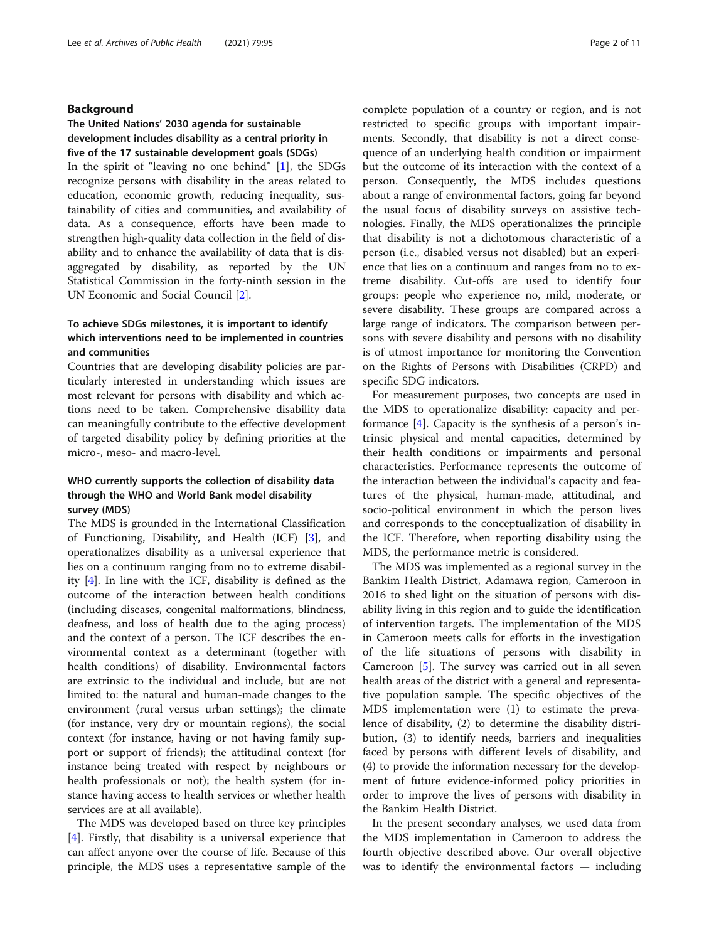# Background

# The United Nations' 2030 agenda for sustainable development includes disability as a central priority in five of the 17 sustainable development goals (SDGs)

In the spirit of "leaving no one behind" [\[1](#page-9-0)], the SDGs recognize persons with disability in the areas related to education, economic growth, reducing inequality, sustainability of cities and communities, and availability of data. As a consequence, efforts have been made to strengthen high-quality data collection in the field of disability and to enhance the availability of data that is disaggregated by disability, as reported by the UN Statistical Commission in the forty-ninth session in the UN Economic and Social Council [[2\]](#page-9-0).

# To achieve SDGs milestones, it is important to identify which interventions need to be implemented in countries and communities

Countries that are developing disability policies are particularly interested in understanding which issues are most relevant for persons with disability and which actions need to be taken. Comprehensive disability data can meaningfully contribute to the effective development of targeted disability policy by defining priorities at the micro-, meso- and macro-level.

# WHO currently supports the collection of disability data through the WHO and World Bank model disability survey (MDS)

The MDS is grounded in the International Classification of Functioning, Disability, and Health (ICF) [\[3](#page-9-0)], and operationalizes disability as a universal experience that lies on a continuum ranging from no to extreme disability [\[4\]](#page-9-0). In line with the ICF, disability is defined as the outcome of the interaction between health conditions (including diseases, congenital malformations, blindness, deafness, and loss of health due to the aging process) and the context of a person. The ICF describes the environmental context as a determinant (together with health conditions) of disability. Environmental factors are extrinsic to the individual and include, but are not limited to: the natural and human-made changes to the environment (rural versus urban settings); the climate (for instance, very dry or mountain regions), the social context (for instance, having or not having family support or support of friends); the attitudinal context (for instance being treated with respect by neighbours or health professionals or not); the health system (for instance having access to health services or whether health services are at all available).

The MDS was developed based on three key principles [[4\]](#page-9-0). Firstly, that disability is a universal experience that can affect anyone over the course of life. Because of this principle, the MDS uses a representative sample of the complete population of a country or region, and is not restricted to specific groups with important impairments. Secondly, that disability is not a direct consequence of an underlying health condition or impairment but the outcome of its interaction with the context of a person. Consequently, the MDS includes questions about a range of environmental factors, going far beyond the usual focus of disability surveys on assistive technologies. Finally, the MDS operationalizes the principle that disability is not a dichotomous characteristic of a person (i.e., disabled versus not disabled) but an experience that lies on a continuum and ranges from no to extreme disability. Cut-offs are used to identify four groups: people who experience no, mild, moderate, or severe disability. These groups are compared across a large range of indicators. The comparison between persons with severe disability and persons with no disability is of utmost importance for monitoring the Convention on the Rights of Persons with Disabilities (CRPD) and specific SDG indicators.

For measurement purposes, two concepts are used in the MDS to operationalize disability: capacity and performance [\[4](#page-9-0)]. Capacity is the synthesis of a person's intrinsic physical and mental capacities, determined by their health conditions or impairments and personal characteristics. Performance represents the outcome of the interaction between the individual's capacity and features of the physical, human-made, attitudinal, and socio-political environment in which the person lives and corresponds to the conceptualization of disability in the ICF. Therefore, when reporting disability using the MDS, the performance metric is considered.

The MDS was implemented as a regional survey in the Bankim Health District, Adamawa region, Cameroon in 2016 to shed light on the situation of persons with disability living in this region and to guide the identification of intervention targets. The implementation of the MDS in Cameroon meets calls for efforts in the investigation of the life situations of persons with disability in Cameroon [\[5\]](#page-9-0). The survey was carried out in all seven health areas of the district with a general and representative population sample. The specific objectives of the MDS implementation were (1) to estimate the prevalence of disability, (2) to determine the disability distribution, (3) to identify needs, barriers and inequalities faced by persons with different levels of disability, and (4) to provide the information necessary for the development of future evidence-informed policy priorities in order to improve the lives of persons with disability in the Bankim Health District.

In the present secondary analyses, we used data from the MDS implementation in Cameroon to address the fourth objective described above. Our overall objective was to identify the environmental factors — including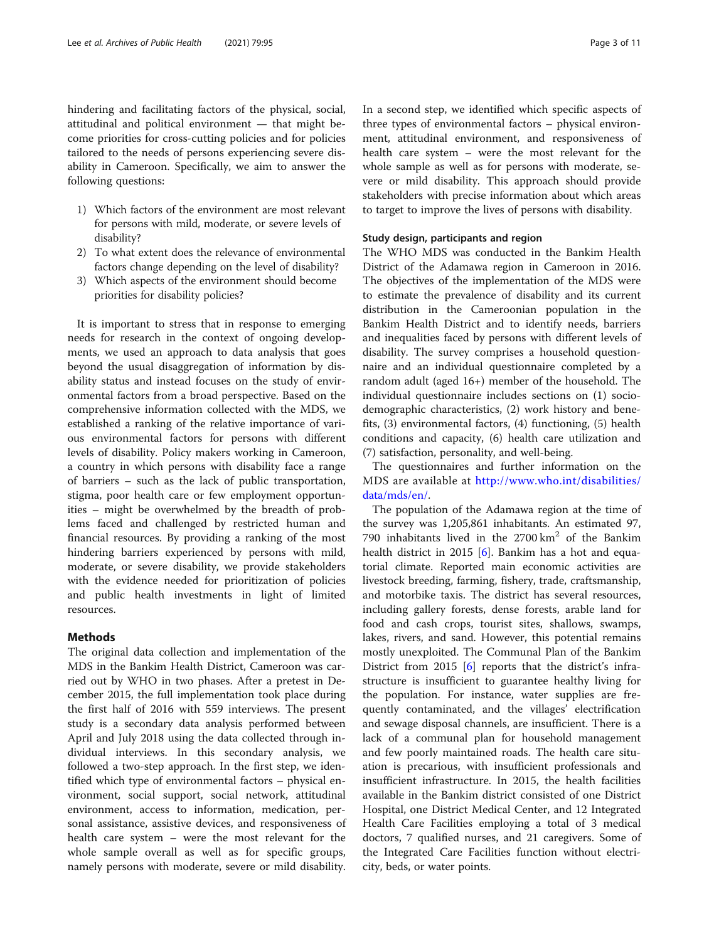hindering and facilitating factors of the physical, social, attitudinal and political environment — that might become priorities for cross-cutting policies and for policies tailored to the needs of persons experiencing severe disability in Cameroon. Specifically, we aim to answer the following questions:

- 1) Which factors of the environment are most relevant for persons with mild, moderate, or severe levels of disability?
- 2) To what extent does the relevance of environmental factors change depending on the level of disability?
- 3) Which aspects of the environment should become priorities for disability policies?

It is important to stress that in response to emerging needs for research in the context of ongoing developments, we used an approach to data analysis that goes beyond the usual disaggregation of information by disability status and instead focuses on the study of environmental factors from a broad perspective. Based on the comprehensive information collected with the MDS, we established a ranking of the relative importance of various environmental factors for persons with different levels of disability. Policy makers working in Cameroon, a country in which persons with disability face a range of barriers – such as the lack of public transportation, stigma, poor health care or few employment opportunities – might be overwhelmed by the breadth of problems faced and challenged by restricted human and financial resources. By providing a ranking of the most hindering barriers experienced by persons with mild, moderate, or severe disability, we provide stakeholders with the evidence needed for prioritization of policies and public health investments in light of limited resources.

# Methods

The original data collection and implementation of the MDS in the Bankim Health District, Cameroon was carried out by WHO in two phases. After a pretest in December 2015, the full implementation took place during the first half of 2016 with 559 interviews. The present study is a secondary data analysis performed between April and July 2018 using the data collected through individual interviews. In this secondary analysis, we followed a two-step approach. In the first step, we identified which type of environmental factors – physical environment, social support, social network, attitudinal environment, access to information, medication, personal assistance, assistive devices, and responsiveness of health care system – were the most relevant for the whole sample overall as well as for specific groups, namely persons with moderate, severe or mild disability. In a second step, we identified which specific aspects of three types of environmental factors – physical environment, attitudinal environment, and responsiveness of health care system – were the most relevant for the whole sample as well as for persons with moderate, severe or mild disability. This approach should provide stakeholders with precise information about which areas to target to improve the lives of persons with disability.

# Study design, participants and region

The WHO MDS was conducted in the Bankim Health District of the Adamawa region in Cameroon in 2016. The objectives of the implementation of the MDS were to estimate the prevalence of disability and its current distribution in the Cameroonian population in the Bankim Health District and to identify needs, barriers and inequalities faced by persons with different levels of disability. The survey comprises a household questionnaire and an individual questionnaire completed by a random adult (aged 16+) member of the household. The individual questionnaire includes sections on (1) sociodemographic characteristics, (2) work history and benefits, (3) environmental factors, (4) functioning, (5) health conditions and capacity, (6) health care utilization and (7) satisfaction, personality, and well-being.

The questionnaires and further information on the MDS are available at [http://www.who.int/disabilities/](http://www.who.int/disabilities/data/mds/en/) [data/mds/en/.](http://www.who.int/disabilities/data/mds/en/)

The population of the Adamawa region at the time of the survey was 1,205,861 inhabitants. An estimated 97, 790 inhabitants lived in the  $2700 \text{ km}^2$  of the Bankim health district in 2015 [[6](#page-9-0)]. Bankim has a hot and equatorial climate. Reported main economic activities are livestock breeding, farming, fishery, trade, craftsmanship, and motorbike taxis. The district has several resources, including gallery forests, dense forests, arable land for food and cash crops, tourist sites, shallows, swamps, lakes, rivers, and sand. However, this potential remains mostly unexploited. The Communal Plan of the Bankim District from 2015 [\[6\]](#page-9-0) reports that the district's infrastructure is insufficient to guarantee healthy living for the population. For instance, water supplies are frequently contaminated, and the villages' electrification and sewage disposal channels, are insufficient. There is a lack of a communal plan for household management and few poorly maintained roads. The health care situation is precarious, with insufficient professionals and insufficient infrastructure. In 2015, the health facilities available in the Bankim district consisted of one District Hospital, one District Medical Center, and 12 Integrated Health Care Facilities employing a total of 3 medical doctors, 7 qualified nurses, and 21 caregivers. Some of the Integrated Care Facilities function without electricity, beds, or water points.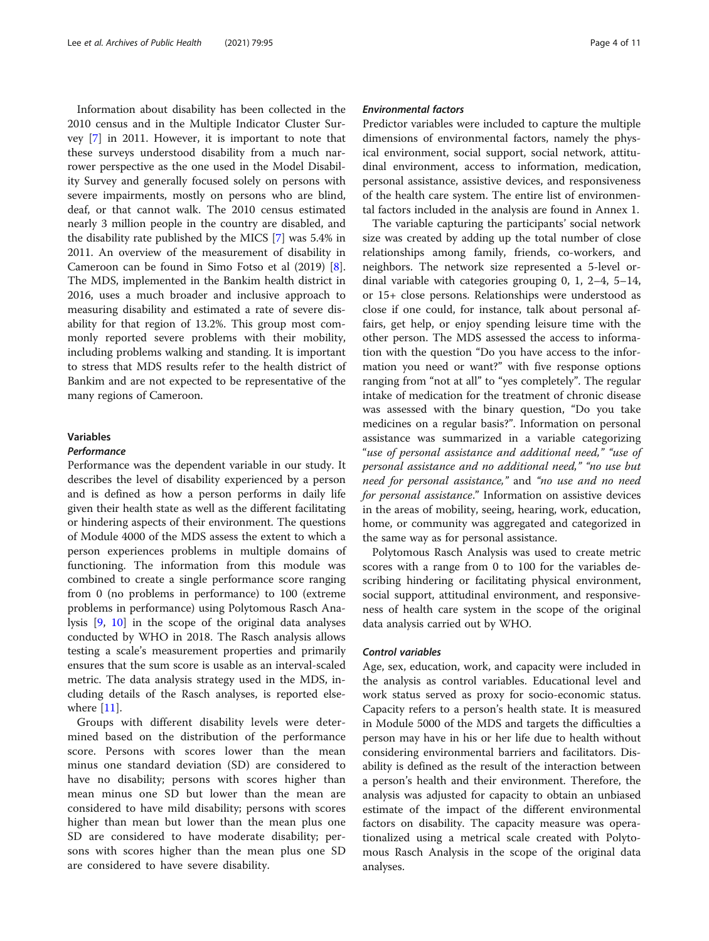Information about disability has been collected in the 2010 census and in the Multiple Indicator Cluster Survey [[7\]](#page-9-0) in 2011. However, it is important to note that these surveys understood disability from a much narrower perspective as the one used in the Model Disability Survey and generally focused solely on persons with severe impairments, mostly on persons who are blind, deaf, or that cannot walk. The 2010 census estimated nearly 3 million people in the country are disabled, and the disability rate published by the MICS [[7\]](#page-9-0) was 5.4% in 2011. An overview of the measurement of disability in Cameroon can be found in Simo Fotso et al (2019) [\[8](#page-9-0)]. The MDS, implemented in the Bankim health district in 2016, uses a much broader and inclusive approach to measuring disability and estimated a rate of severe disability for that region of 13.2%. This group most commonly reported severe problems with their mobility, including problems walking and standing. It is important to stress that MDS results refer to the health district of Bankim and are not expected to be representative of the many regions of Cameroon.

### Variables

### **Performance**

Performance was the dependent variable in our study. It describes the level of disability experienced by a person and is defined as how a person performs in daily life given their health state as well as the different facilitating or hindering aspects of their environment. The questions of Module 4000 of the MDS assess the extent to which a person experiences problems in multiple domains of functioning. The information from this module was combined to create a single performance score ranging from 0 (no problems in performance) to 100 (extreme problems in performance) using Polytomous Rasch Analysis [[9,](#page-9-0) [10](#page-10-0)] in the scope of the original data analyses conducted by WHO in 2018. The Rasch analysis allows testing a scale's measurement properties and primarily ensures that the sum score is usable as an interval-scaled metric. The data analysis strategy used in the MDS, including details of the Rasch analyses, is reported else-where [\[11](#page-10-0)].

Groups with different disability levels were determined based on the distribution of the performance score. Persons with scores lower than the mean minus one standard deviation (SD) are considered to have no disability; persons with scores higher than mean minus one SD but lower than the mean are considered to have mild disability; persons with scores higher than mean but lower than the mean plus one SD are considered to have moderate disability; persons with scores higher than the mean plus one SD are considered to have severe disability.

# Environmental factors

Predictor variables were included to capture the multiple dimensions of environmental factors, namely the physical environment, social support, social network, attitudinal environment, access to information, medication, personal assistance, assistive devices, and responsiveness of the health care system. The entire list of environmental factors included in the analysis are found in Annex 1.

The variable capturing the participants' social network size was created by adding up the total number of close relationships among family, friends, co-workers, and neighbors. The network size represented a 5-level ordinal variable with categories grouping 0, 1, 2–4, 5–14, or 15+ close persons. Relationships were understood as close if one could, for instance, talk about personal affairs, get help, or enjoy spending leisure time with the other person. The MDS assessed the access to information with the question "Do you have access to the information you need or want?" with five response options ranging from "not at all" to "yes completely". The regular intake of medication for the treatment of chronic disease was assessed with the binary question, "Do you take medicines on a regular basis?". Information on personal assistance was summarized in a variable categorizing "use of personal assistance and additional need," "use of personal assistance and no additional need," "no use but need for personal assistance," and "no use and no need for personal assistance." Information on assistive devices in the areas of mobility, seeing, hearing, work, education, home, or community was aggregated and categorized in the same way as for personal assistance.

Polytomous Rasch Analysis was used to create metric scores with a range from 0 to 100 for the variables describing hindering or facilitating physical environment, social support, attitudinal environment, and responsiveness of health care system in the scope of the original data analysis carried out by WHO.

### Control variables

Age, sex, education, work, and capacity were included in the analysis as control variables. Educational level and work status served as proxy for socio-economic status. Capacity refers to a person's health state. It is measured in Module 5000 of the MDS and targets the difficulties a person may have in his or her life due to health without considering environmental barriers and facilitators. Disability is defined as the result of the interaction between a person's health and their environment. Therefore, the analysis was adjusted for capacity to obtain an unbiased estimate of the impact of the different environmental factors on disability. The capacity measure was operationalized using a metrical scale created with Polytomous Rasch Analysis in the scope of the original data analyses.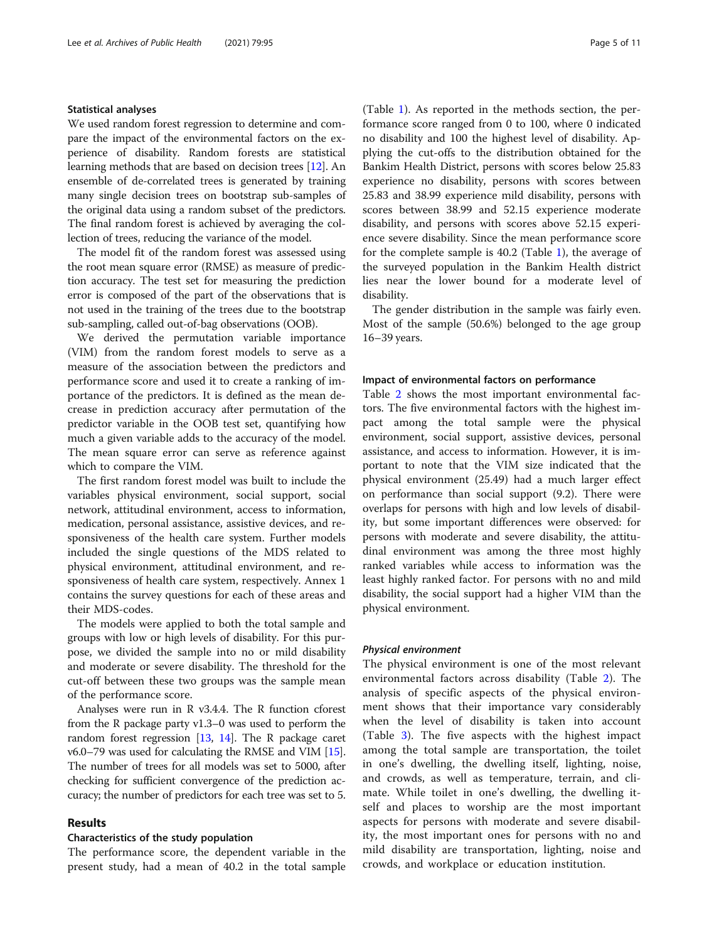### Statistical analyses

We used random forest regression to determine and compare the impact of the environmental factors on the experience of disability. Random forests are statistical learning methods that are based on decision trees [[12](#page-10-0)]. An ensemble of de-correlated trees is generated by training many single decision trees on bootstrap sub-samples of the original data using a random subset of the predictors. The final random forest is achieved by averaging the collection of trees, reducing the variance of the model.

The model fit of the random forest was assessed using the root mean square error (RMSE) as measure of prediction accuracy. The test set for measuring the prediction error is composed of the part of the observations that is not used in the training of the trees due to the bootstrap sub-sampling, called out-of-bag observations (OOB).

We derived the permutation variable importance (VIM) from the random forest models to serve as a measure of the association between the predictors and performance score and used it to create a ranking of importance of the predictors. It is defined as the mean decrease in prediction accuracy after permutation of the predictor variable in the OOB test set, quantifying how much a given variable adds to the accuracy of the model. The mean square error can serve as reference against which to compare the VIM.

The first random forest model was built to include the variables physical environment, social support, social network, attitudinal environment, access to information, medication, personal assistance, assistive devices, and responsiveness of the health care system. Further models included the single questions of the MDS related to physical environment, attitudinal environment, and responsiveness of health care system, respectively. Annex 1 contains the survey questions for each of these areas and their MDS-codes.

The models were applied to both the total sample and groups with low or high levels of disability. For this purpose, we divided the sample into no or mild disability and moderate or severe disability. The threshold for the cut-off between these two groups was the sample mean of the performance score.

Analyses were run in R v3.4.4. The R function cforest from the R package party v1.3–0 was used to perform the random forest regression [[13](#page-10-0), [14\]](#page-10-0). The R package caret v6.0–79 was used for calculating the RMSE and VIM [[15](#page-10-0)]. The number of trees for all models was set to 5000, after checking for sufficient convergence of the prediction accuracy; the number of predictors for each tree was set to 5.

### Results

## Characteristics of the study population

The performance score, the dependent variable in the present study, had a mean of 40.2 in the total sample

(Table [1\)](#page-5-0). As reported in the methods section, the performance score ranged from 0 to 100, where 0 indicated no disability and 100 the highest level of disability. Applying the cut-offs to the distribution obtained for the Bankim Health District, persons with scores below 25.83 experience no disability, persons with scores between 25.83 and 38.99 experience mild disability, persons with scores between 38.99 and 52.15 experience moderate disability, and persons with scores above 52.15 experience severe disability. Since the mean performance score for the complete sample is 40.2 (Table [1](#page-5-0)), the average of the surveyed population in the Bankim Health district lies near the lower bound for a moderate level of disability.

The gender distribution in the sample was fairly even. Most of the sample (50.6%) belonged to the age group 16–39 years.

# Impact of environmental factors on performance

Table [2](#page-5-0) shows the most important environmental factors. The five environmental factors with the highest impact among the total sample were the physical environment, social support, assistive devices, personal assistance, and access to information. However, it is important to note that the VIM size indicated that the physical environment (25.49) had a much larger effect on performance than social support (9.2). There were overlaps for persons with high and low levels of disability, but some important differences were observed: for persons with moderate and severe disability, the attitudinal environment was among the three most highly ranked variables while access to information was the least highly ranked factor. For persons with no and mild disability, the social support had a higher VIM than the physical environment.

### Physical environment

The physical environment is one of the most relevant environmental factors across disability (Table [2\)](#page-5-0). The analysis of specific aspects of the physical environment shows that their importance vary considerably when the level of disability is taken into account (Table [3](#page-6-0)). The five aspects with the highest impact among the total sample are transportation, the toilet in one's dwelling, the dwelling itself, lighting, noise, and crowds, as well as temperature, terrain, and climate. While toilet in one's dwelling, the dwelling itself and places to worship are the most important aspects for persons with moderate and severe disability, the most important ones for persons with no and mild disability are transportation, lighting, noise and crowds, and workplace or education institution.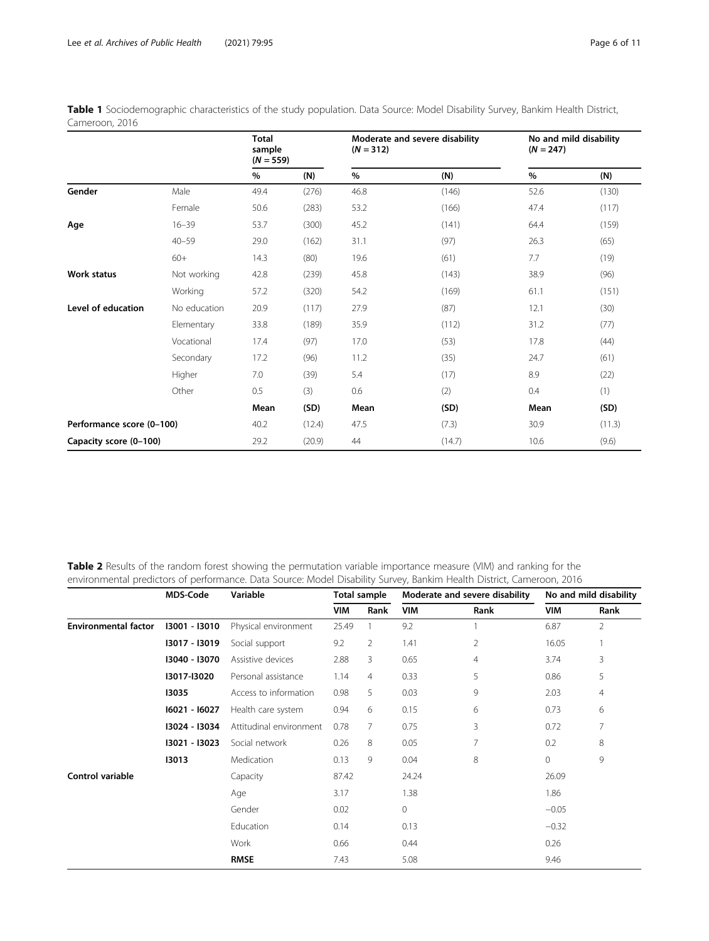|                           |              | <b>Total</b><br>sample<br>$(N = 559)$ |        | $(N = 312)$ | Moderate and severe disability | No and mild disability<br>$(N = 247)$ |        |  |
|---------------------------|--------------|---------------------------------------|--------|-------------|--------------------------------|---------------------------------------|--------|--|
|                           |              | $\%$                                  | (N)    | %           | (N)                            | %                                     | (N)    |  |
| Gender                    | Male         | 49.4                                  | (276)  | 46.8        | (146)                          | 52.6                                  | (130)  |  |
|                           | Female       | 50.6                                  | (283)  | 53.2        | (166)                          | 47.4                                  | (117)  |  |
| Age                       | $16 - 39$    | 53.7                                  | (300)  | 45.2        | (141)                          | 64.4                                  | (159)  |  |
|                           | $40 - 59$    | 29.0                                  | (162)  | 31.1        | (97)                           | 26.3                                  | (65)   |  |
|                           | $60+$        | 14.3                                  | (80)   | 19.6        | (61)                           | 7.7                                   | (19)   |  |
| <b>Work status</b>        | Not working  | 42.8                                  | (239)  | 45.8        | (143)                          | 38.9                                  | (96)   |  |
|                           | Working      | 57.2                                  | (320)  | 54.2        | (169)                          | 61.1                                  | (151)  |  |
| Level of education        | No education | 20.9                                  | (117)  | 27.9        | (87)                           | 12.1                                  | (30)   |  |
|                           | Elementary   | 33.8                                  | (189)  | 35.9        | (112)                          | 31.2                                  | (77)   |  |
|                           | Vocational   | 17.4                                  | (97)   | 17.0        | (53)                           | 17.8                                  | (44)   |  |
|                           | Secondary    | 17.2                                  | (96)   | 11.2        | (35)                           | 24.7                                  | (61)   |  |
|                           | Higher       | 7.0                                   | (39)   | 5.4         | (17)                           | 8.9                                   | (22)   |  |
|                           | Other        | 0.5                                   | (3)    | 0.6         | (2)                            | 0.4                                   | (1)    |  |
|                           |              | Mean                                  | (SD)   | Mean        | (SD)                           | Mean                                  | (SD)   |  |
| Performance score (0-100) |              | 40.2                                  | (12.4) | 47.5        | (7.3)                          | 30.9                                  | (11.3) |  |
| Capacity score (0-100)    |              | 29.2                                  | (20.9) | 44          | (14.7)                         | 10.6                                  | (9.6)  |  |

<span id="page-5-0"></span>Table 1 Sociodemographic characteristics of the study population. Data Source: Model Disability Survey, Bankim Health District, Cameroon, 2016

Table 2 Results of the random forest showing the permutation variable importance measure (VIM) and ranking for the environmental predictors of performance. Data Source: Model Disability Survey, Bankim Health District, Cameroon, 2016

|                             | <b>MDS-Code</b> | Variable                | <b>Total sample</b> |                |            | Moderate and severe disability | No and mild disability |                |  |
|-----------------------------|-----------------|-------------------------|---------------------|----------------|------------|--------------------------------|------------------------|----------------|--|
|                             |                 |                         | <b>VIM</b>          | Rank           | <b>VIM</b> | Rank                           | <b>VIM</b>             | Rank           |  |
| <b>Environmental factor</b> | 13001 - 13010   | Physical environment    | 25.49               | 1              | 9.2        |                                | 6.87                   | $\overline{2}$ |  |
|                             | 13017 - 13019   | Social support          | 9.2                 | 2              | 1.41       | $\overline{2}$                 | 16.05                  |                |  |
|                             | 13040 - 13070   | Assistive devices       | 2.88                | 3              | 0.65       | 4                              | 3.74                   | 3              |  |
|                             | I3017-I3020     | Personal assistance     | 1.14                | $\overline{4}$ | 0.33       | 5                              | 0.86                   | 5              |  |
|                             | 13035           | Access to information   | 0.98                | 5              | 0.03       | 9                              | 2.03                   | $\overline{4}$ |  |
|                             | 16021 - 16027   | Health care system      | 0.94                | 6              | 0.15       | 6                              | 0.73                   | 6              |  |
|                             | 13024 - 13034   | Attitudinal environment | 0.78                | 7              | 0.75       | 3                              | 0.72                   | 7              |  |
|                             | 13021 - 13023   | Social network          | 0.26                | 8              | 0.05       | 7                              | 0.2                    | 8              |  |
|                             | 13013           | Medication              | 0.13                | 9              | 0.04       | 8                              | $\mathbf 0$            | 9              |  |
| <b>Control variable</b>     |                 | Capacity                | 87.42               |                | 24.24      |                                | 26.09                  |                |  |
|                             |                 | Age                     | 3.17                |                | 1.38       |                                | 1.86                   |                |  |
|                             |                 | Gender                  | 0.02                |                | 0          |                                | $-0.05$                |                |  |
|                             |                 | Education               | 0.14                |                | 0.13       |                                | $-0.32$                |                |  |
|                             |                 | Work                    | 0.66                |                | 0.44       |                                | 0.26                   |                |  |
|                             |                 | <b>RMSE</b>             | 7.43                |                | 5.08       |                                | 9.46                   |                |  |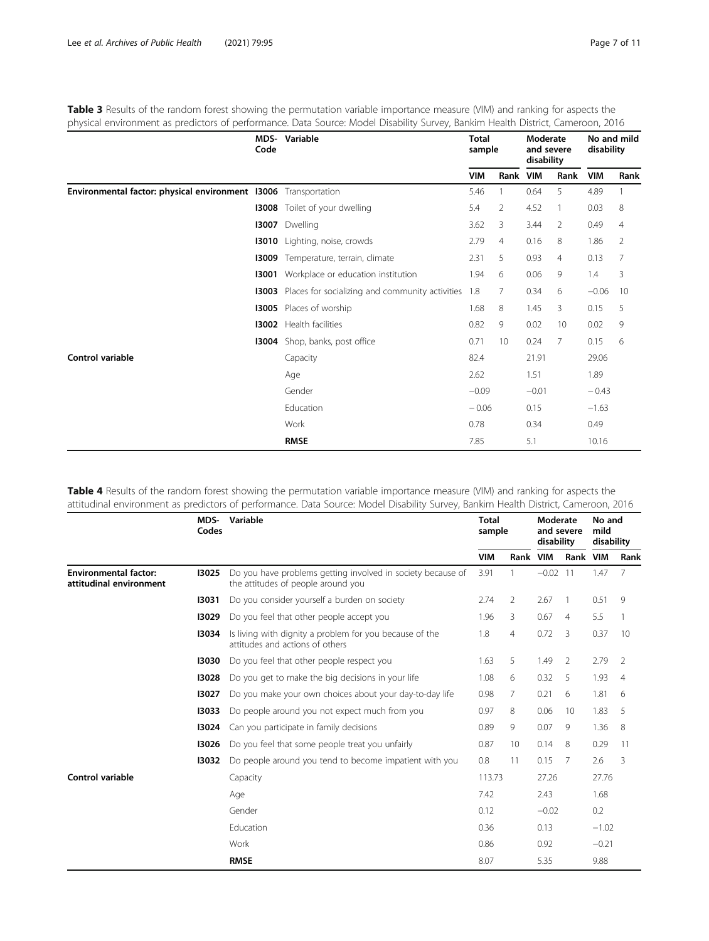|                                                  | Code  | <b>MDS-</b> Variable                            | <b>Total</b><br>sample |      | Moderate<br>and severe<br>disability |                | No and mild<br>disability |      |
|--------------------------------------------------|-------|-------------------------------------------------|------------------------|------|--------------------------------------|----------------|---------------------------|------|
|                                                  |       |                                                 | <b>VIM</b>             | Rank | <b>VIM</b>                           | Rank           | <b>VIM</b>                | Rank |
| Environmental factor: physical environment 13006 |       | Transportation                                  | 5.46                   |      | 0.64                                 | 5              | 4.89                      |      |
|                                                  | 13008 | Toilet of your dwelling                         | 5.4                    | 2    | 4.52                                 |                | 0.03                      | 8    |
|                                                  | 13007 | Dwelling                                        | 3.62                   | 3    | 3.44                                 | 2              | 0.49                      | 4    |
|                                                  |       | 13010 Lighting, noise, crowds                   | 2.79                   | 4    | 0.16                                 | 8              | 1.86                      | 2    |
|                                                  | 13009 | Temperature, terrain, climate                   | 2.31                   | 5    | 0.93                                 | 4              | 0.13                      | 7    |
|                                                  | 13001 | Workplace or education institution              | 1.94                   | 6    | 0.06                                 | 9              | 1.4                       | 3    |
|                                                  | 13003 | Places for socializing and community activities | 1.8                    | 7    | 0.34                                 | 6              | $-0.06$                   | 10   |
|                                                  | 13005 | Places of worship                               | 1.68                   | 8    | 1.45                                 | 3              | 0.15                      | 5    |
|                                                  | 13002 | Health facilities                               | 0.82                   | 9    | 0.02                                 | 10             | 0.02                      | 9    |
|                                                  | 13004 | Shop, banks, post office                        | 0.71                   | 10   | 0.24                                 | $\overline{7}$ | 0.15                      | 6    |
| Control variable                                 |       | Capacity                                        | 82.4                   |      | 21.91                                |                | 29.06                     |      |
|                                                  |       | Age                                             | 2.62                   |      | 1.51                                 |                | 1.89                      |      |
|                                                  |       | Gender                                          | $-0.09$                |      | $-0.01$                              |                | $-0.43$                   |      |
|                                                  |       | Education                                       | $-0.06$                |      | 0.15                                 |                | $-1.63$                   |      |
|                                                  |       | Work                                            | 0.78                   |      | 0.34                                 |                | 0.49                      |      |
|                                                  |       | <b>RMSE</b>                                     | 7.85                   |      | 5.1                                  |                | 10.16                     |      |

<span id="page-6-0"></span>Table 3 Results of the random forest showing the permutation variable importance measure (VIM) and ranking for aspects the physical environment as predictors of performance. Data Source: Model Disability Survey, Bankim Health District, Cameroon, 2016

Table 4 Results of the random forest showing the permutation variable importance measure (VIM) and ranking for aspects the attitudinal environment as predictors of performance. Data Source: Model Disability Survey, Bankim Health District, Cameroon, 2016

|                                                         | MDS-<br>Codes | Variable                                                                                          | <b>Total</b><br>sample |                | Moderate<br>and severe<br>disability |                | No and<br>mild<br>disability |                |
|---------------------------------------------------------|---------------|---------------------------------------------------------------------------------------------------|------------------------|----------------|--------------------------------------|----------------|------------------------------|----------------|
|                                                         |               |                                                                                                   | <b>VIM</b>             | Rank VIM       |                                      | Rank           | <b>VIM</b>                   | Rank           |
| <b>Environmental factor:</b><br>attitudinal environment | 13025         | Do you have problems getting involved in society because of<br>the attitudes of people around you | 3.91                   |                | $-0.02$ 11                           |                | 1.47                         | 7              |
|                                                         | 13031         | Do you consider yourself a burden on society                                                      | 2.74                   | $\overline{2}$ | 2.67                                 | -1             | 0.51                         | 9              |
|                                                         | 13029         | Do you feel that other people accept you                                                          | 1.96                   | 3              | 0.67                                 | $\overline{4}$ | 5.5                          | 1              |
|                                                         | 13034         | Is living with dignity a problem for you because of the<br>attitudes and actions of others        | 1.8                    | $\overline{4}$ | 0.72                                 | 3              | 0.37                         | 10             |
|                                                         | 13030         | Do you feel that other people respect you                                                         | 1.63                   | 5              | 1.49                                 | 2              | 2.79                         | 2              |
|                                                         | 13028         | Do you get to make the big decisions in your life                                                 | 1.08                   | 6              | 0.32                                 | 5              | 1.93                         | $\overline{4}$ |
|                                                         | 13027         | Do you make your own choices about your day-to-day life                                           | 0.98                   | $\overline{7}$ | 0.21                                 | 6              | 1.81                         | 6              |
|                                                         | 13033         | Do people around you not expect much from you                                                     | 0.97                   | 8              | 0.06                                 | 10             | 1.83                         | 5              |
|                                                         | 13024         | Can you participate in family decisions                                                           | 0.89                   | 9              | 0.07                                 | 9              | 1.36                         | 8              |
|                                                         | 13026         | Do you feel that some people treat you unfairly                                                   | 0.87                   | 10             | 0.14                                 | 8              | 0.29                         | 11             |
|                                                         | 13032         | Do people around you tend to become impatient with you                                            | 0.8                    | 11             | 0.15                                 | 7              | 2.6                          | 3              |
| Control variable                                        |               | Capacity                                                                                          | 113.73                 |                | 27.26                                |                | 27.76                        |                |
|                                                         |               | Age                                                                                               | 7.42                   |                | 2.43                                 |                | 1.68                         |                |
|                                                         |               | Gender                                                                                            | 0.12                   |                | $-0.02$                              |                | 0.2                          |                |
|                                                         |               | Education                                                                                         | 0.36                   |                | 0.13                                 |                | $-1.02$                      |                |
|                                                         |               | Work                                                                                              | 0.86                   |                | 0.92                                 |                | $-0.21$                      |                |
|                                                         |               | <b>RMSE</b>                                                                                       | 8.07                   |                | 5.35                                 |                | 9.88                         |                |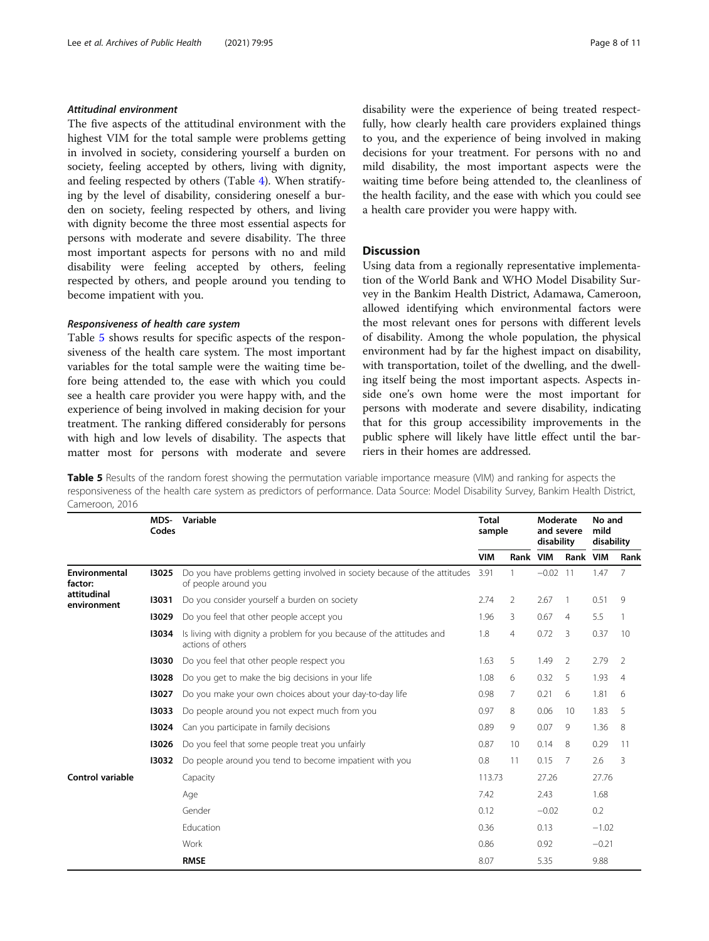# Attitudinal environment

The five aspects of the attitudinal environment with the highest VIM for the total sample were problems getting in involved in society, considering yourself a burden on society, feeling accepted by others, living with dignity, and feeling respected by others (Table [4](#page-6-0)). When stratifying by the level of disability, considering oneself a burden on society, feeling respected by others, and living with dignity become the three most essential aspects for persons with moderate and severe disability. The three most important aspects for persons with no and mild disability were feeling accepted by others, feeling respected by others, and people around you tending to become impatient with you.

### Responsiveness of health care system

Table 5 shows results for specific aspects of the responsiveness of the health care system. The most important variables for the total sample were the waiting time before being attended to, the ease with which you could see a health care provider you were happy with, and the experience of being involved in making decision for your treatment. The ranking differed considerably for persons with high and low levels of disability. The aspects that matter most for persons with moderate and severe disability were the experience of being treated respectfully, how clearly health care providers explained things to you, and the experience of being involved in making decisions for your treatment. For persons with no and mild disability, the most important aspects were the waiting time before being attended to, the cleanliness of the health facility, and the ease with which you could see a health care provider you were happy with.

# **Discussion**

Using data from a regionally representative implementation of the World Bank and WHO Model Disability Survey in the Bankim Health District, Adamawa, Cameroon, allowed identifying which environmental factors were the most relevant ones for persons with different levels of disability. Among the whole population, the physical environment had by far the highest impact on disability, with transportation, toilet of the dwelling, and the dwelling itself being the most important aspects. Aspects inside one's own home were the most important for persons with moderate and severe disability, indicating that for this group accessibility improvements in the public sphere will likely have little effect until the barriers in their homes are addressed.

Table 5 Results of the random forest showing the permutation variable importance measure (VIM) and ranking for aspects the responsiveness of the health care system as predictors of performance. Data Source: Model Disability Survey, Bankim Health District, Cameroon, 2016

|                            | MDS-<br>Codes | Variable                                                                                          |            | <b>Total</b><br>sample |            | Moderate<br>and severe<br>disability |         | No and<br>mild<br>disability |  |
|----------------------------|---------------|---------------------------------------------------------------------------------------------------|------------|------------------------|------------|--------------------------------------|---------|------------------------------|--|
|                            |               |                                                                                                   | <b>VIM</b> | Rank VIM               |            | Rank VIM                             |         | Rank                         |  |
| Environmental<br>factor:   | 13025         | Do you have problems getting involved in society because of the attitudes<br>of people around you | 3.91       |                        | $-0.02$ 11 |                                      | 1.47    | 7                            |  |
| attitudinal<br>environment | 13031         | Do you consider yourself a burden on society                                                      | 2.74       | 2                      | 2.67       | 1                                    | 0.51    | 9                            |  |
|                            | 13029         | Do you feel that other people accept you                                                          | 1.96       | 3                      | 0.67       | $\overline{4}$                       | 5.5     | $\mathbf{1}$                 |  |
|                            | 13034         | Is living with dignity a problem for you because of the attitudes and<br>actions of others        | 1.8        | $\overline{4}$         | 0.72       | 3                                    | 0.37    | 10                           |  |
|                            | 13030         | Do you feel that other people respect you                                                         | 1.63       | 5                      | 1.49       | 2                                    | 2.79    | 2                            |  |
|                            | 13028         | Do you get to make the big decisions in your life                                                 | 1.08       | 6                      | 0.32       | 5                                    | 1.93    | $\overline{4}$               |  |
|                            | 13027         | Do you make your own choices about your day-to-day life                                           | 0.98       | 7                      | 0.21       | 6                                    | 1.81    | 6                            |  |
|                            | 13033         | Do people around you not expect much from you                                                     | 0.97       | 8                      | 0.06       | 10                                   | 1.83    | 5                            |  |
|                            | 13024         | Can you participate in family decisions                                                           | 0.89       | 9                      | 0.07       | 9                                    | 1.36    | 8                            |  |
|                            | 13026         | Do you feel that some people treat you unfairly                                                   | 0.87       | 10                     | 0.14       | 8                                    | 0.29    | 11                           |  |
|                            | 13032         | Do people around you tend to become impatient with you                                            | 0.8        | 11                     | 0.15       | 7                                    | 2.6     | 3                            |  |
| Control variable           |               | Capacity                                                                                          | 113.73     |                        | 27.26      |                                      | 27.76   |                              |  |
|                            |               | Age                                                                                               | 7.42       |                        | 2.43       |                                      | 1.68    |                              |  |
|                            |               | Gender                                                                                            | 0.12       |                        | $-0.02$    |                                      | 0.2     |                              |  |
|                            |               | Education                                                                                         | 0.36       |                        | 0.13       |                                      | $-1.02$ |                              |  |
|                            |               | Work                                                                                              | 0.86       |                        | 0.92       |                                      | $-0.21$ |                              |  |
|                            |               | <b>RMSE</b>                                                                                       | 8.07       |                        | 5.35       |                                      | 9.88    |                              |  |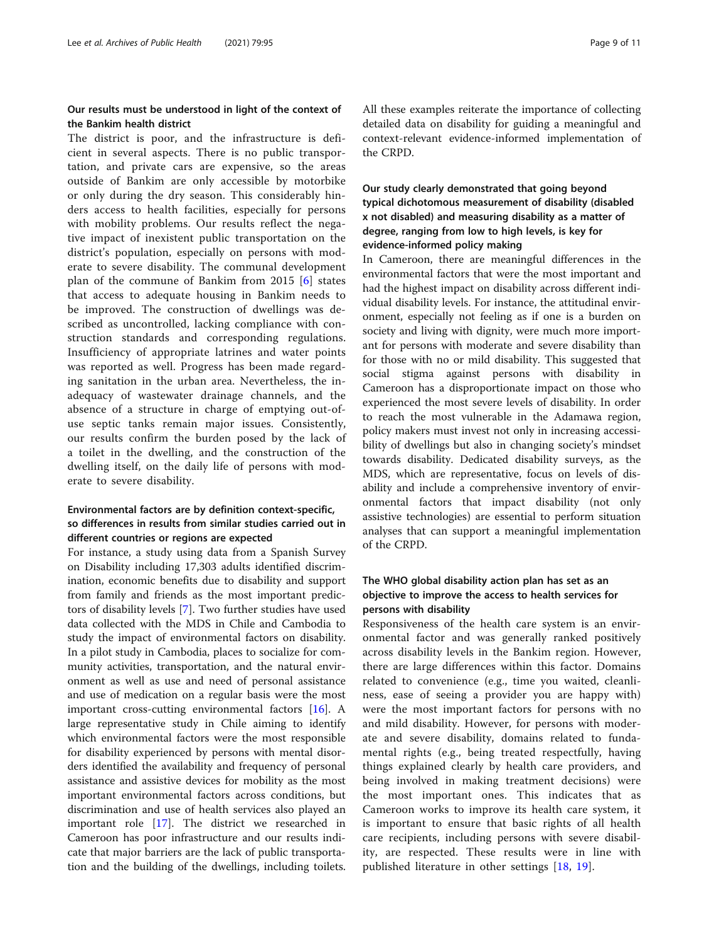# Our results must be understood in light of the context of the Bankim health district

The district is poor, and the infrastructure is deficient in several aspects. There is no public transportation, and private cars are expensive, so the areas outside of Bankim are only accessible by motorbike or only during the dry season. This considerably hinders access to health facilities, especially for persons with mobility problems. Our results reflect the negative impact of inexistent public transportation on the district's population, especially on persons with moderate to severe disability. The communal development plan of the commune of Bankim from 2015 [[6\]](#page-9-0) states that access to adequate housing in Bankim needs to be improved. The construction of dwellings was described as uncontrolled, lacking compliance with construction standards and corresponding regulations. Insufficiency of appropriate latrines and water points was reported as well. Progress has been made regarding sanitation in the urban area. Nevertheless, the inadequacy of wastewater drainage channels, and the absence of a structure in charge of emptying out-ofuse septic tanks remain major issues. Consistently, our results confirm the burden posed by the lack of a toilet in the dwelling, and the construction of the dwelling itself, on the daily life of persons with moderate to severe disability.

# Environmental factors are by definition context-specific, so differences in results from similar studies carried out in different countries or regions are expected

For instance, a study using data from a Spanish Survey on Disability including 17,303 adults identified discrimination, economic benefits due to disability and support from family and friends as the most important predictors of disability levels [[7](#page-9-0)]. Two further studies have used data collected with the MDS in Chile and Cambodia to study the impact of environmental factors on disability. In a pilot study in Cambodia, places to socialize for community activities, transportation, and the natural environment as well as use and need of personal assistance and use of medication on a regular basis were the most important cross-cutting environmental factors [[16\]](#page-10-0). A large representative study in Chile aiming to identify which environmental factors were the most responsible for disability experienced by persons with mental disorders identified the availability and frequency of personal assistance and assistive devices for mobility as the most important environmental factors across conditions, but discrimination and use of health services also played an important role [\[17\]](#page-10-0). The district we researched in Cameroon has poor infrastructure and our results indicate that major barriers are the lack of public transportation and the building of the dwellings, including toilets. All these examples reiterate the importance of collecting detailed data on disability for guiding a meaningful and context-relevant evidence-informed implementation of the CRPD.

# Our study clearly demonstrated that going beyond typical dichotomous measurement of disability (disabled x not disabled) and measuring disability as a matter of degree, ranging from low to high levels, is key for evidence-informed policy making

In Cameroon, there are meaningful differences in the environmental factors that were the most important and had the highest impact on disability across different individual disability levels. For instance, the attitudinal environment, especially not feeling as if one is a burden on society and living with dignity, were much more important for persons with moderate and severe disability than for those with no or mild disability. This suggested that social stigma against persons with disability in Cameroon has a disproportionate impact on those who experienced the most severe levels of disability. In order to reach the most vulnerable in the Adamawa region, policy makers must invest not only in increasing accessibility of dwellings but also in changing society's mindset towards disability. Dedicated disability surveys, as the MDS, which are representative, focus on levels of disability and include a comprehensive inventory of environmental factors that impact disability (not only assistive technologies) are essential to perform situation analyses that can support a meaningful implementation of the CRPD.

# The WHO global disability action plan has set as an objective to improve the access to health services for persons with disability

Responsiveness of the health care system is an environmental factor and was generally ranked positively across disability levels in the Bankim region. However, there are large differences within this factor. Domains related to convenience (e.g., time you waited, cleanliness, ease of seeing a provider you are happy with) were the most important factors for persons with no and mild disability. However, for persons with moderate and severe disability, domains related to fundamental rights (e.g., being treated respectfully, having things explained clearly by health care providers, and being involved in making treatment decisions) were the most important ones. This indicates that as Cameroon works to improve its health care system, it is important to ensure that basic rights of all health care recipients, including persons with severe disability, are respected. These results were in line with published literature in other settings [[18](#page-10-0), [19](#page-10-0)].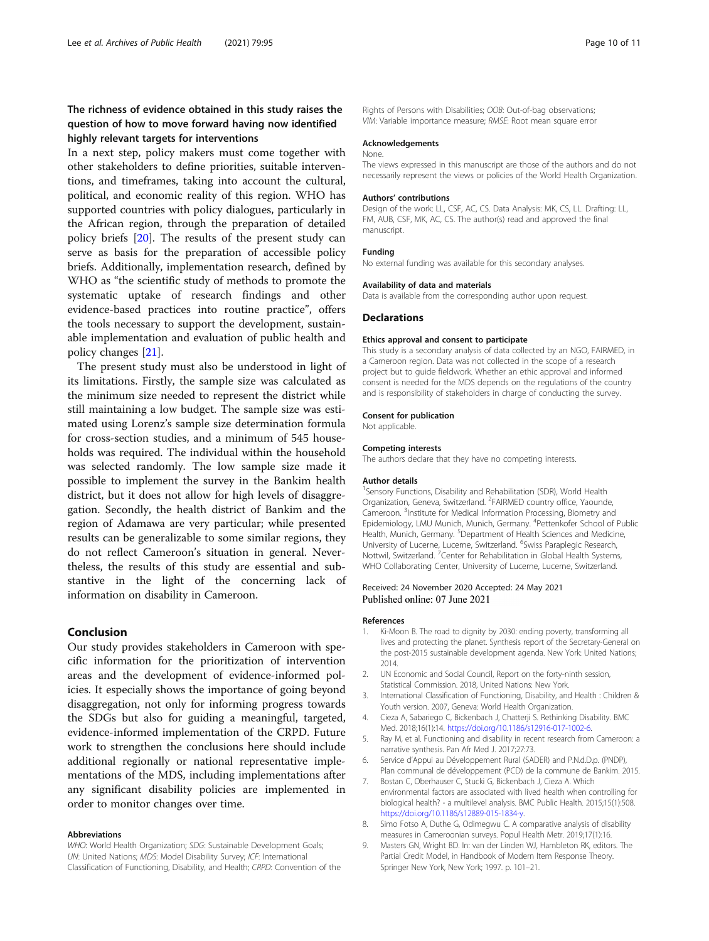# <span id="page-9-0"></span>The richness of evidence obtained in this study raises the question of how to move forward having now identified highly relevant targets for interventions

In a next step, policy makers must come together with other stakeholders to define priorities, suitable interventions, and timeframes, taking into account the cultural, political, and economic reality of this region. WHO has supported countries with policy dialogues, particularly in the African region, through the preparation of detailed policy briefs [\[20\]](#page-10-0). The results of the present study can serve as basis for the preparation of accessible policy briefs. Additionally, implementation research, defined by WHO as "the scientific study of methods to promote the systematic uptake of research findings and other evidence-based practices into routine practice", offers the tools necessary to support the development, sustainable implementation and evaluation of public health and policy changes [\[21](#page-10-0)].

The present study must also be understood in light of its limitations. Firstly, the sample size was calculated as the minimum size needed to represent the district while still maintaining a low budget. The sample size was estimated using Lorenz's sample size determination formula for cross-section studies, and a minimum of 545 households was required. The individual within the household was selected randomly. The low sample size made it possible to implement the survey in the Bankim health district, but it does not allow for high levels of disaggregation. Secondly, the health district of Bankim and the region of Adamawa are very particular; while presented results can be generalizable to some similar regions, they do not reflect Cameroon's situation in general. Nevertheless, the results of this study are essential and substantive in the light of the concerning lack of information on disability in Cameroon.

# Conclusion

Our study provides stakeholders in Cameroon with specific information for the prioritization of intervention areas and the development of evidence-informed policies. It especially shows the importance of going beyond disaggregation, not only for informing progress towards the SDGs but also for guiding a meaningful, targeted, evidence-informed implementation of the CRPD. Future work to strengthen the conclusions here should include additional regionally or national representative implementations of the MDS, including implementations after any significant disability policies are implemented in order to monitor changes over time.

#### Abbreviations

WHO: World Health Organization; SDG: Sustainable Development Goals; UN: United Nations; MDS: Model Disability Survey; ICF: International Classification of Functioning, Disability, and Health; CRPD: Convention of the Rights of Persons with Disabilities; OOB: Out-of-bag observations; VIM: Variable importance measure; RMSE: Root mean square error

### Acknowledgements

### None.

The views expressed in this manuscript are those of the authors and do not necessarily represent the views or policies of the World Health Organization.

#### Authors' contributions

Design of the work: LL, CSF, AC, CS. Data Analysis: MK, CS, LL. Drafting: LL, FM, AUB, CSF, MK, AC, CS. The author(s) read and approved the final manuscript.

#### Funding

No external funding was available for this secondary analyses.

#### Availability of data and materials

Data is available from the corresponding author upon request.

#### **Declarations**

#### Ethics approval and consent to participate

This study is a secondary analysis of data collected by an NGO, FAIRMED, in a Cameroon region. Data was not collected in the scope of a research project but to guide fieldwork. Whether an ethic approval and informed consent is needed for the MDS depends on the regulations of the country and is responsibility of stakeholders in charge of conducting the survey.

#### Consent for publication

Not applicable.

#### Competing interests

The authors declare that they have no competing interests.

#### Author details

<sup>1</sup> Sensory Functions, Disability and Rehabilitation (SDR), World Health Organization, Geneva, Switzerland. <sup>2</sup>FAIRMED country office, Yaounde Cameroon.<sup>3</sup> Institute for Medical Information Processing, Biometry and Epidemiology, LMU Munich, Munich, Germany. <sup>4</sup>Pettenkofer School of Public Health, Munich, Germany. <sup>5</sup>Department of Health Sciences and Medicine University of Lucerne, Lucerne, Switzerland. <sup>6</sup>Swiss Paraplegic Research, Nottwil, Switzerland. <sup>7</sup> Center for Rehabilitation in Global Health Systems, WHO Collaborating Center, University of Lucerne, Lucerne, Switzerland.

### Received: 24 November 2020 Accepted: 24 May 2021 Published online: 07 June 2021

#### References

- 1. Ki-Moon B. The road to dignity by 2030: ending poverty, transforming all lives and protecting the planet. Synthesis report of the Secretary-General on the post-2015 sustainable development agenda. New York: United Nations; 2014.
- 2. UN Economic and Social Council, Report on the forty-ninth session, Statistical Commission. 2018, United Nations: New York.
- 3. International Classification of Functioning, Disability, and Health : Children & Youth version. 2007, Geneva: World Health Organization.
- 4. Cieza A, Sabariego C, Bickenbach J, Chatterji S. Rethinking Disability. BMC Med. 2018;16(1):14. <https://doi.org/10.1186/s12916-017-1002-6>.
- 5. Ray M, et al. Functioning and disability in recent research from Cameroon: a narrative synthesis. Pan Afr Med J. 2017;27:73.
- 6. Service d'Appui au Développement Rural (SADER) and P.N.d.D.p. (PNDP), Plan communal de développement (PCD) de la commune de Bankim. 2015.
- 7. Bostan C, Oberhauser C, Stucki G, Bickenbach J, Cieza A. Which environmental factors are associated with lived health when controlling for biological health? - a multilevel analysis. BMC Public Health. 2015;15(1):508. [https://doi.org/10.1186/s12889-015-1834-y.](https://doi.org/10.1186/s12889-015-1834-y)
- 8. Simo Fotso A, Duthe G, Odimegwu C. A comparative analysis of disability measures in Cameroonian surveys. Popul Health Metr. 2019;17(1):16.
- 9. Masters GN, Wright BD. In: van der Linden WJ, Hambleton RK, editors. The Partial Credit Model, in Handbook of Modern Item Response Theory. Springer New York, New York; 1997. p. 101–21.